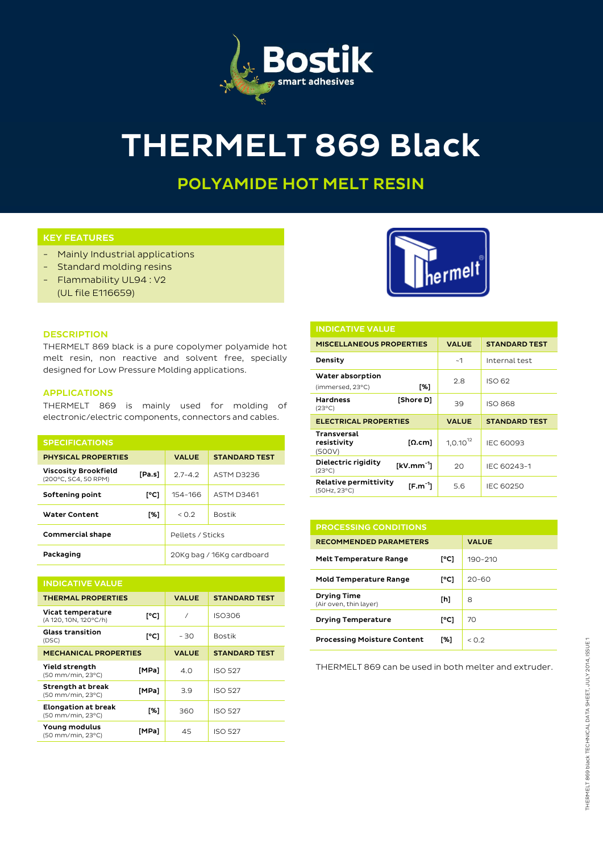

# THERMELT 869 Black

## POLYAMIDE HOT MELT RESIN

### KEY FEATURES

- Mainly Industrial applications
- Standard molding resins
- Flammability UL94 : V2
	- (UL file E116659)



| and the control of the control of |  | $\sim$ |  |
|-----------------------------------|--|--------|--|

THERMELT 869 black is a pure copolymer polyamide hot melt resin, non reactive and solvent free, specially designed for Low Pressure Molding applications.

#### APPLICATIONS

THERMELT 869 is mainly used for molding of electronic/electric components, connectors and cables.

| <b>SPECIFICATIONS</b>                               |        |                           |                      |
|-----------------------------------------------------|--------|---------------------------|----------------------|
| <b>PHYSICAL PROPERTIES</b>                          |        | <b>VALUE</b>              | <b>STANDARD TEST</b> |
| <b>Viscosity Brookfield</b><br>(200°C, SC4, 50 RPM) | [Pa.s] | $27 - 42$                 | ASTM D3236           |
| Softening point                                     | [°C]   | 154-166                   | <b>ASTM D3461</b>    |
| Water Content                                       | [%]    | < 0.2                     | <b>Bostik</b>        |
| <b>Commercial shape</b>                             |        | Pellets / Sticks          |                      |
| Packaging                                           |        | 20Kg bag / 16Kg cardboard |                      |

| <b>INDICATIVE VALUE</b>                         |       |              |                      |
|-------------------------------------------------|-------|--------------|----------------------|
| <b>THERMAL PROPERTIES</b>                       |       | <b>VALUE</b> | <b>STANDARD TEST</b> |
| Vicat temperature<br>(A 120, 10N, 120°C/h)      | [°C]  | $\prime$     | ISO306               |
| <b>Glass transition</b><br>(DSC)                | [°C]  | - 30         | <b>Bostik</b>        |
| <b>MECHANICAL PROPERTIES</b>                    |       | <b>VALUE</b> | <b>STANDARD TEST</b> |
| <b>Yield strength</b><br>(50 mm/min, 23°C)      | [MPa] | 4.0          | <b>ISO 527</b>       |
| Strength at break<br>(50 mm/min, 23°C)          | [MPa] | 3.9          | <b>ISO 527</b>       |
| <b>Elongation at break</b><br>(50 mm/min, 23°C) | [%]   | 360          | <b>ISO 527</b>       |
| Young modulus<br>(50 mm/min, 23°C)              | [MPa] | 45           | <b>ISO 527</b>       |

| <b>INDICATIVE VALUE</b>                                  |           |               |                      |
|----------------------------------------------------------|-----------|---------------|----------------------|
| <b>MISCELLANEOUS PROPERTIES</b>                          |           | <b>VALUE</b>  | <b>STANDARD TEST</b> |
| Density                                                  |           | ~1            | Internal test        |
| Water absorption<br>(immersed, 23°C)                     | [%]       | 2.8           | ISO 62               |
| <b>Hardness</b><br>$(23^{\circ}C)$                       | [Shore D] | 39            | <b>ISO 868</b>       |
| <b>ELECTRICAL PROPERTIES</b>                             |           | <b>VALUE</b>  | <b>STANDARD TEST</b> |
|                                                          |           |               |                      |
| <b>Transversal</b><br>resistivity<br>(500V)              | [Ω.cm]    | $1,0.10^{12}$ | <b>IEC 60093</b>     |
| Dielectric rigidity<br>$[kV/mm^{-1}]$<br>$(23^{\circ}C)$ |           | 20            | IEC 60243-1          |

| <b>PROCESSING CONDITIONS</b>                 |      |                      |
|----------------------------------------------|------|----------------------|
| <b>RECOMMENDED PARAMETERS</b>                |      | <b>VALUE</b>         |
| <b>Melt Temperature Range</b>                | [°C] | 190-210              |
| <b>Mold Temperature Range</b>                | [°C] | $20 - 60$            |
| <b>Drying Time</b><br>(Air oven, thin layer) | [h]  | 8                    |
| <b>Drying Temperature</b>                    | [°C] | 70                   |
| <b>Processing Moisture Content</b>           | [%]  | $<$ $\cap$ $\supset$ |

THERMELT 869 can be used in both melter and extruder.